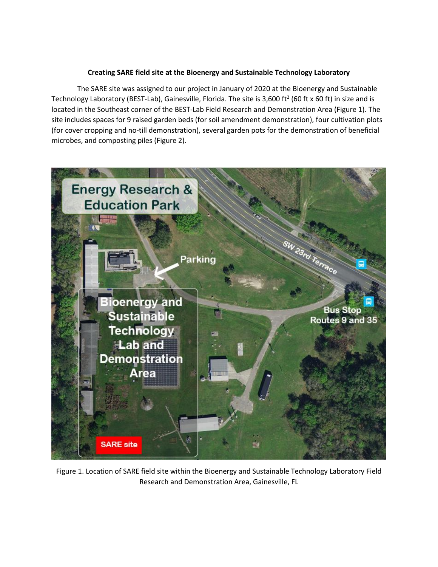## **Creating SARE field site at the Bioenergy and Sustainable Technology Laboratory**

The SARE site was assigned to our project in January of 2020 at the Bioenergy and Sustainable Technology Laboratory (BEST-Lab), Gainesville, Florida. The site is 3,600 ft<sup>2</sup> (60 ft x 60 ft) in size and is located in the Southeast corner of the BEST-Lab Field Research and Demonstration Area (Figure 1). The site includes spaces for 9 raised garden beds (for soil amendment demonstration), four cultivation plots (for cover cropping and no-till demonstration), several garden pots for the demonstration of beneficial microbes, and composting piles (Figure 2).



Figure 1. Location of SARE field site within the Bioenergy and Sustainable Technology Laboratory Field Research and Demonstration Area, Gainesville, FL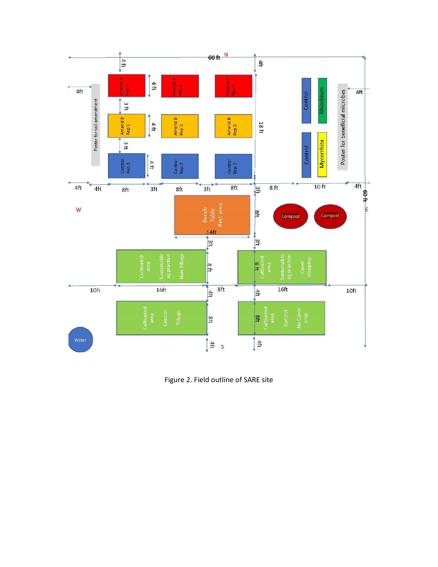

Figure 2. Field outline of SARE site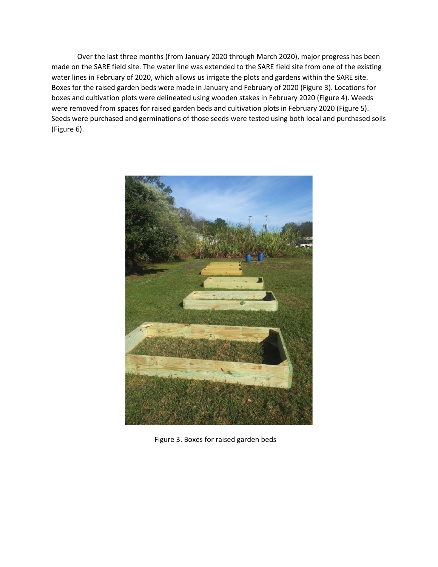Over the last three months (from January 2020 through March 2020), major progress has been made on the SARE field site. The water line was extended to the SARE field site from one of the existing water lines in February of 2020, which allows us irrigate the plots and gardens within the SARE site. Boxes for the raised garden beds were made in January and February of 2020 (Figure 3). Locations for boxes and cultivation plots were delineated using wooden stakes in February 2020 (Figure 4). Weeds were removed from spaces for raised garden beds and cultivation plots in February 2020 (Figure 5). Seeds were purchased and germinations of those seeds were tested using both local and purchased soils (Figure 6).



Figure 3. Boxes for raised garden beds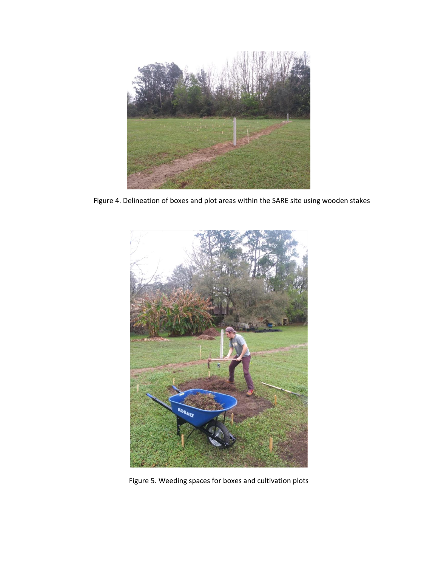

Figure 4. Delineation of boxes and plot areas within the SARE site using wooden stakes



Figure 5. Weeding spaces for boxes and cultivation plots